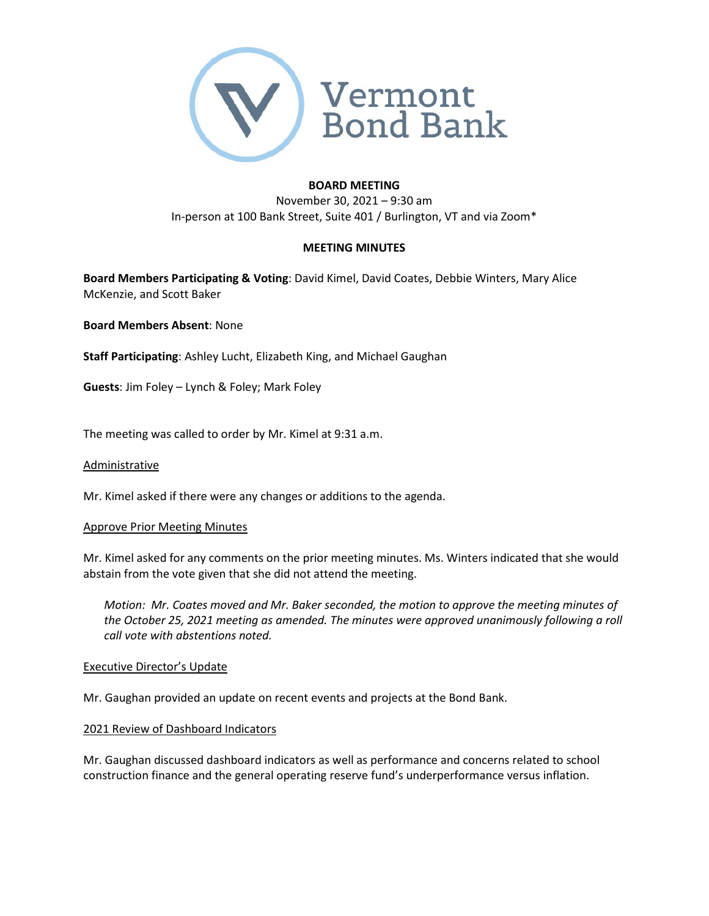

## **BOARD MEETING**

November 30, 2021 – 9:30 am In-person at 100 Bank Street, Suite 401 / Burlington, VT and via Zoom\*

## **MEETING MINUTES**

**Board Members Participating & Voting**: David Kimel, David Coates, Debbie Winters, Mary Alice McKenzie, and Scott Baker

**Board Members Absent**: None

**Staff Participating**: Ashley Lucht, Elizabeth King, and Michael Gaughan

**Guests**: Jim Foley – Lynch & Foley; Mark Foley

The meeting was called to order by Mr. Kimel at 9:31 a.m.

### Administrative

Mr. Kimel asked if there were any changes or additions to the agenda.

### Approve Prior Meeting Minutes

Mr. Kimel asked for any comments on the prior meeting minutes. Ms. Winters indicated that she would abstain from the vote given that she did not attend the meeting.

*Motion: Mr. Coates moved and Mr. Baker seconded, the motion to approve the meeting minutes of the October 25, 2021 meeting as amended. The minutes were approved unanimously following a roll call vote with abstentions noted.* 

### Executive Director's Update

Mr. Gaughan provided an update on recent events and projects at the Bond Bank.

### 2021 Review of Dashboard Indicators

Mr. Gaughan discussed dashboard indicators as well as performance and concerns related to school construction finance and the general operating reserve fund's underperformance versus inflation.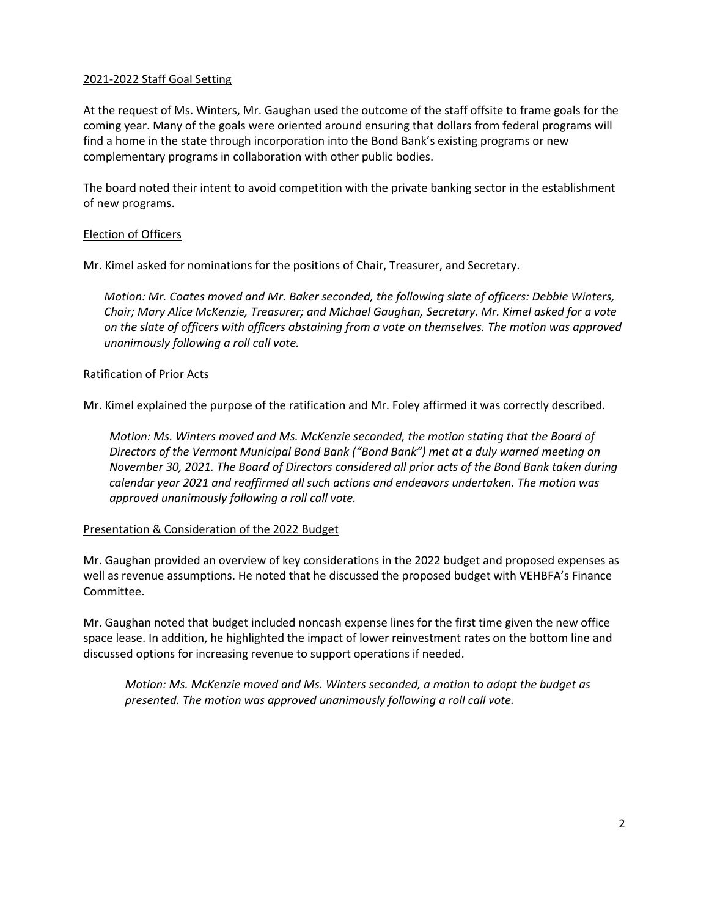# 2021-2022 Staff Goal Setting

At the request of Ms. Winters, Mr. Gaughan used the outcome of the staff offsite to frame goals for the coming year. Many of the goals were oriented around ensuring that dollars from federal programs will find a home in the state through incorporation into the Bond Bank's existing programs or new complementary programs in collaboration with other public bodies.

The board noted their intent to avoid competition with the private banking sector in the establishment of new programs.

# Election of Officers

Mr. Kimel asked for nominations for the positions of Chair, Treasurer, and Secretary.

*Motion: Mr. Coates moved and Mr. Baker seconded, the following slate of officers: Debbie Winters, Chair; Mary Alice McKenzie, Treasurer; and Michael Gaughan, Secretary. Mr. Kimel asked for a vote on the slate of officers with officers abstaining from a vote on themselves. The motion was approved unanimously following a roll call vote.* 

## Ratification of Prior Acts

Mr. Kimel explained the purpose of the ratification and Mr. Foley affirmed it was correctly described.

*Motion: Ms. Winters moved and Ms. McKenzie seconded, the motion stating that the Board of Directors of the Vermont Municipal Bond Bank ("Bond Bank") met at a duly warned meeting on November 30, 2021. The Board of Directors considered all prior acts of the Bond Bank taken during calendar year 2021 and reaffirmed all such actions and endeavors undertaken. The motion was approved unanimously following a roll call vote.* 

# Presentation & Consideration of the 2022 Budget

Mr. Gaughan provided an overview of key considerations in the 2022 budget and proposed expenses as well as revenue assumptions. He noted that he discussed the proposed budget with VEHBFA's Finance Committee.

Mr. Gaughan noted that budget included noncash expense lines for the first time given the new office space lease. In addition, he highlighted the impact of lower reinvestment rates on the bottom line and discussed options for increasing revenue to support operations if needed.

*Motion: Ms. McKenzie moved and Ms. Winters seconded, a motion to adopt the budget as presented. The motion was approved unanimously following a roll call vote.*